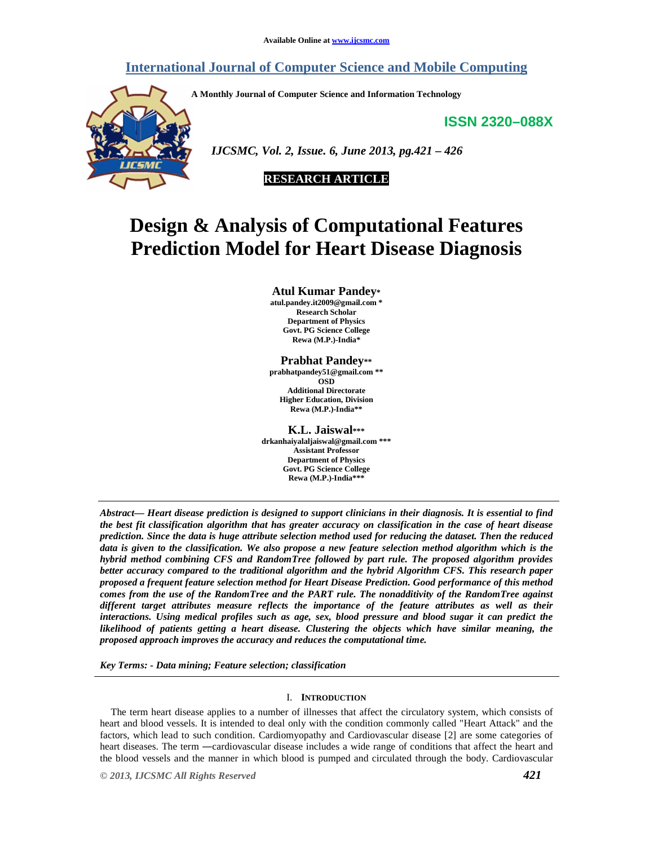# **International Journal of Computer Science and Mobile Computing**

**A Monthly Journal of Computer Science and Information Technology** 

**ISSN 2320–088X**



 *IJCSMC, Vol. 2, Issue. 6, June 2013, pg.421 – 426* 



# **Design & Analysis of Computational Features Prediction Model for Heart Disease Diagnosis**

**Atul Kumar Pandey\* atul.pandey.it2009@gmail.com \* Research Scholar Department of Physics Govt. PG Science College Rewa (M.P.)-India\*** 

#### **Prabhat Pandey\*\* prabhatpandey51@gmail.com \*\* OSD Additional Directorate**

**Higher Education, Division Rewa (M.P.)-India\*\*** 

**K.L. Jaiswal\*\*\* drkanhaiyalaljaiswal@gmail.com \*\*\* Assistant Professor Department of Physics Govt. PG Science College Rewa (M.P.)-India\*\*\*** 

*Abstract— Heart disease prediction is designed to support clinicians in their diagnosis. It is essential to find the best fit classification algorithm that has greater accuracy on classification in the case of heart disease prediction. Since the data is huge attribute selection method used for reducing the dataset. Then the reduced data is given to the classification. We also propose a new feature selection method algorithm which is the hybrid method combining CFS and RandomTree followed by part rule. The proposed algorithm provides better accuracy compared to the traditional algorithm and the hybrid Algorithm CFS. This research paper proposed a frequent feature selection method for Heart Disease Prediction. Good performance of this method comes from the use of the RandomTree and the PART rule. The nonadditivity of the RandomTree against different target attributes measure reflects the importance of the feature attributes as well as their interactions. Using medical profiles such as age, sex, blood pressure and blood sugar it can predict the likelihood of patients getting a heart disease. Clustering the objects which have similar meaning, the proposed approach improves the accuracy and reduces the computational time.* 

*Key Terms: - Data mining; Feature selection; classification* 

# I. **INTRODUCTION**

The term heart disease applies to a number of illnesses that affect the circulatory system, which consists of heart and blood vessels. It is intended to deal only with the condition commonly called "Heart Attack" and the factors, which lead to such condition. Cardiomyopathy and Cardiovascular disease [2] are some categories of heart diseases. The term ―cardiovascular disease includes a wide range of conditions that affect the heart and the blood vessels and the manner in which blood is pumped and circulated through the body. Cardiovascular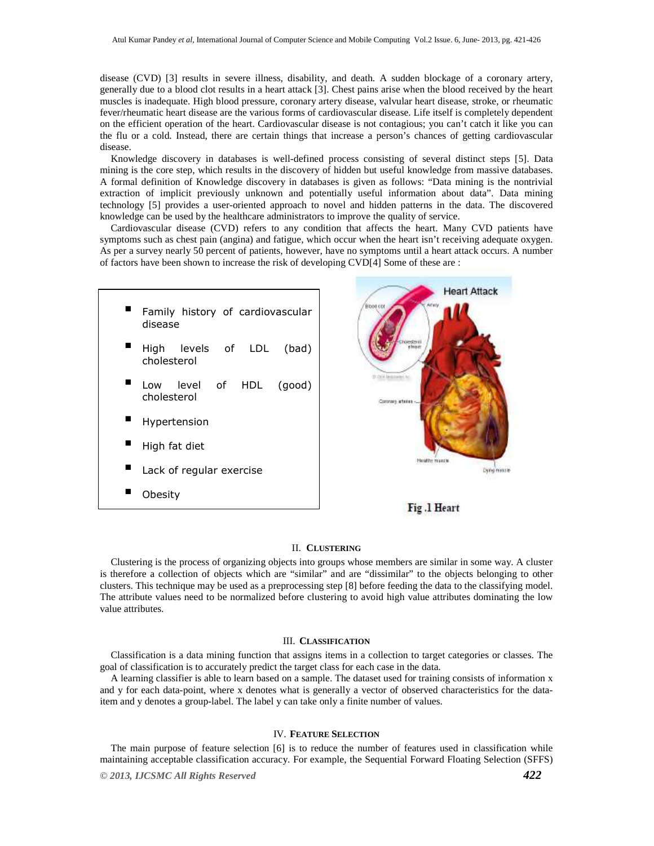disease (CVD) [3] results in severe illness, disability, and death. A sudden blockage of a coronary artery, generally due to a blood clot results in a heart attack [3]. Chest pains arise when the blood received by the heart muscles is inadequate. High blood pressure, coronary artery disease, valvular heart disease, stroke, or rheumatic fever/rheumatic heart disease are the various forms of cardiovascular disease. Life itself is completely dependent on the efficient operation of the heart. Cardiovascular disease is not contagious; you can't catch it like you can the flu or a cold. Instead, there are certain things that increase a person's chances of getting cardiovascular disease.

Knowledge discovery in databases is well-defined process consisting of several distinct steps [5]. Data mining is the core step, which results in the discovery of hidden but useful knowledge from massive databases. A formal definition of Knowledge discovery in databases is given as follows: "Data mining is the nontrivial extraction of implicit previously unknown and potentially useful information about data". Data mining technology [5] provides a user-oriented approach to novel and hidden patterns in the data. The discovered knowledge can be used by the healthcare administrators to improve the quality of service.

Cardiovascular disease (CVD) refers to any condition that affects the heart. Many CVD patients have symptoms such as chest pain (angina) and fatigue, which occur when the heart isn't receiving adequate oxygen. As per a survey nearly 50 percent of patients, however, have no symptoms until a heart attack occurs. A number of factors have been shown to increase the risk of developing CVD[4] Some of these are :





# Fig.1 Heart

## II. **CLUSTERING**

Clustering is the process of organizing objects into groups whose members are similar in some way. A cluster is therefore a collection of objects which are "similar" and are "dissimilar" to the objects belonging to other clusters. This technique may be used as a preprocessing step [8] before feeding the data to the classifying model. The attribute values need to be normalized before clustering to avoid high value attributes dominating the low value attributes.

#### III. **CLASSIFICATION**

Classification is a data mining function that assigns items in a collection to target categories or classes. The goal of classification is to accurately predict the target class for each case in the data.

A learning classifier is able to learn based on a sample. The dataset used for training consists of information x and y for each data-point, where x denotes what is generally a vector of observed characteristics for the dataitem and y denotes a group-label. The label y can take only a finite number of values.

## IV. **FEATURE SELECTION**

The main purpose of feature selection [6] is to reduce the number of features used in classification while maintaining acceptable classification accuracy. For example, the Sequential Forward Floating Selection (SFFS)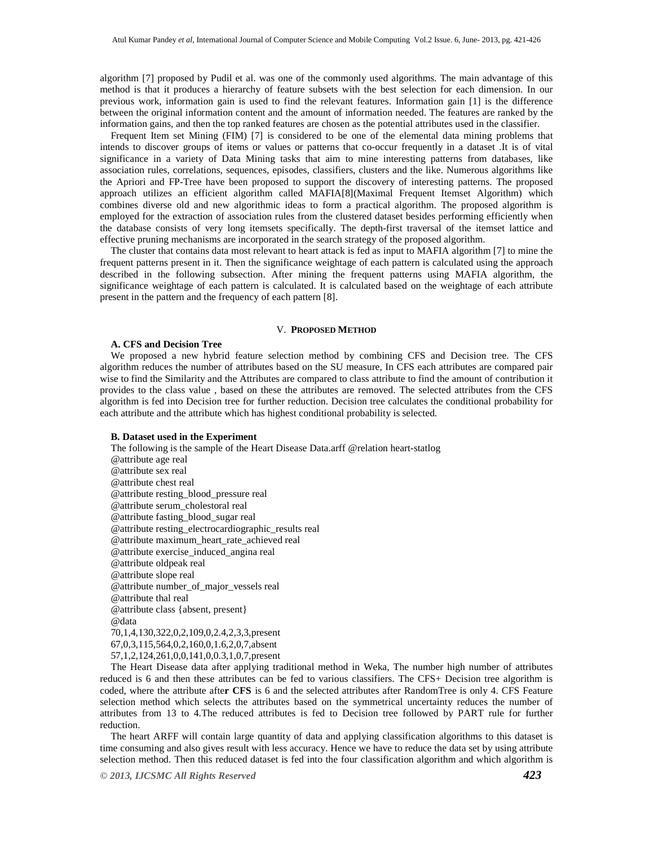algorithm [7] proposed by Pudil et al. was one of the commonly used algorithms. The main advantage of this method is that it produces a hierarchy of feature subsets with the best selection for each dimension. In our previous work, information gain is used to find the relevant features. Information gain [1] is the difference between the original information content and the amount of information needed. The features are ranked by the information gains, and then the top ranked features are chosen as the potential attributes used in the classifier.

Frequent Item set Mining (FIM) [7] is considered to be one of the elemental data mining problems that intends to discover groups of items or values or patterns that co-occur frequently in a dataset .It is of vital significance in a variety of Data Mining tasks that aim to mine interesting patterns from databases, like association rules, correlations, sequences, episodes, classifiers, clusters and the like. Numerous algorithms like the Apriori and FP-Tree have been proposed to support the discovery of interesting patterns. The proposed approach utilizes an efficient algorithm called MAFIA[8](Maximal Frequent Itemset Algorithm) which combines diverse old and new algorithmic ideas to form a practical algorithm. The proposed algorithm is employed for the extraction of association rules from the clustered dataset besides performing efficiently when the database consists of very long itemsets specifically. The depth-first traversal of the itemset lattice and effective pruning mechanisms are incorporated in the search strategy of the proposed algorithm.

The cluster that contains data most relevant to heart attack is fed as input to MAFIA algorithm [7] to mine the frequent patterns present in it. Then the significance weightage of each pattern is calculated using the approach described in the following subsection. After mining the frequent patterns using MAFIA algorithm, the significance weightage of each pattern is calculated. It is calculated based on the weightage of each attribute present in the pattern and the frequency of each pattern [8].

#### V. **PROPOSED METHOD**

#### **A. CFS and Decision Tree**

We proposed a new hybrid feature selection method by combining CFS and Decision tree. The CFS algorithm reduces the number of attributes based on the SU measure, In CFS each attributes are compared pair wise to find the Similarity and the Attributes are compared to class attribute to find the amount of contribution it provides to the class value , based on these the attributes are removed. The selected attributes from the CFS algorithm is fed into Decision tree for further reduction. Decision tree calculates the conditional probability for each attribute and the attribute which has highest conditional probability is selected.

#### **B. Dataset used in the Experiment**

The following is the sample of the Heart Disease Data.arff @relation heart-statlog @attribute age real @attribute sex real @attribute chest real @attribute resting\_blood\_pressure real @attribute serum\_cholestoral real @attribute fasting\_blood\_sugar real @attribute resting\_electrocardiographic\_results real @attribute maximum\_heart\_rate\_achieved real @attribute exercise\_induced\_angina real @attribute oldpeak real @attribute slope real @attribute number\_of\_major\_vessels real @attribute thal real @attribute class {absent, present} @data 70,1,4,130,322,0,2,109,0,2.4,2,3,3,present 67,0,3,115,564,0,2,160,0,1.6,2,0,7,absent 57,1,2,124,261,0,0,141,0,0.3,1,0,7,present The Heart Disease data after applying traditional method in Weka, The number high number of attributes

reduced is 6 and then these attributes can be fed to various classifiers. The CFS+ Decision tree algorithm is coded, where the attribute afte**r CFS** is 6 and the selected attributes after RandomTree is only 4. CFS Feature selection method which selects the attributes based on the symmetrical uncertainty reduces the number of attributes from 13 to 4.The reduced attributes is fed to Decision tree followed by PART rule for further reduction.

The heart ARFF will contain large quantity of data and applying classification algorithms to this dataset is time consuming and also gives result with less accuracy. Hence we have to reduce the data set by using attribute selection method. Then this reduced dataset is fed into the four classification algorithm and which algorithm is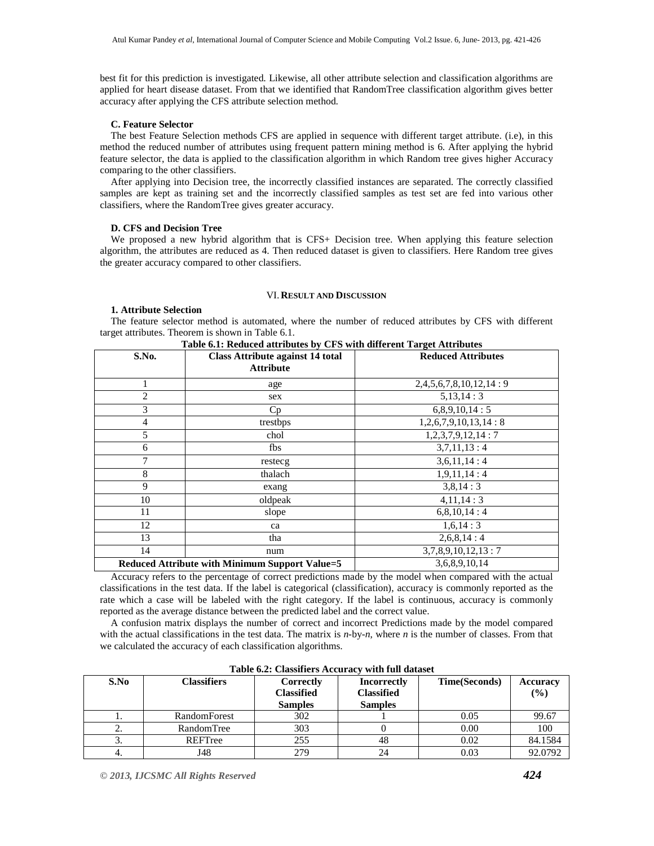best fit for this prediction is investigated. Likewise, all other attribute selection and classification algorithms are applied for heart disease dataset. From that we identified that RandomTree classification algorithm gives better accuracy after applying the CFS attribute selection method.

# **C. Feature Selector**

The best Feature Selection methods CFS are applied in sequence with different target attribute. (i.e), in this method the reduced number of attributes using frequent pattern mining method is 6. After applying the hybrid feature selector, the data is applied to the classification algorithm in which Random tree gives higher Accuracy comparing to the other classifiers.

After applying into Decision tree, the incorrectly classified instances are separated. The correctly classified samples are kept as training set and the incorrectly classified samples as test set are fed into various other classifiers, where the RandomTree gives greater accuracy.

# **D. CFS and Decision Tree**

We proposed a new hybrid algorithm that is CFS+ Decision tree. When applying this feature selection algorithm, the attributes are reduced as 4. Then reduced dataset is given to classifiers. Here Random tree gives the greater accuracy compared to other classifiers.

# VI. **RESULT AND DISCUSSION**

# **1. Attribute Selection**

The feature selector method is automated, where the number of reduced attributes by CFS with different target attributes. Theorem is shown in Table 6.1.

| S.No.          | <b>Class Attribute against 14 total</b><br><b>Attribute</b> | <b>Reduced Attributes</b> |
|----------------|-------------------------------------------------------------|---------------------------|
|                | age                                                         | 2,4,5,6,7,8,10,12,14:9    |
| $\overline{2}$ | sex                                                         | 5,13,14:3                 |
| 3              | Cp                                                          | 6,8,9,10,14:5             |
| $\overline{4}$ | trestbps                                                    | 1,2,6,7,9,10,13,14:8      |
| 5              | chol                                                        | 1,2,3,7,9,12,14:7         |
| 6              | fbs                                                         | 3,7,11,13:4               |
| 7              | restecg                                                     | 3,6,11,14:4               |
| 8              | thalach                                                     | 1,9,11,14:4               |
| 9              | exang                                                       | 3,8,14:3                  |
| 10             | oldpeak                                                     | 4,11,14:3                 |
| 11             | slope                                                       | 6,8,10,14:4               |
| 12             | ca                                                          | 1,6,14:3                  |
| 13             | tha                                                         | 2,6,8,14:4                |
| 14             | num                                                         | 3,7,8,9,10,12,13:7        |
|                | Reduced Attribute with Minimum Support Value=5              | 3,6,8,9,10,14             |

**Table 6.1: Reduced attributes by CFS with different Target Attributes**

Accuracy refers to the percentage of correct predictions made by the model when compared with the actual classifications in the test data. If the label is categorical (classification), accuracy is commonly reported as the rate which a case will be labeled with the right category. If the label is continuous, accuracy is commonly reported as the average distance between the predicted label and the correct value.

A confusion matrix displays the number of correct and incorrect Predictions made by the model compared with the actual classifications in the test data. The matrix is *n*-by-*n*, where *n* is the number of classes. From that we calculated the accuracy of each classification algorithms.

| $-$ 0.0 $-$ 0.0 $-$ 0.0 $-$ 0.0 $-$ 0.0 $-$ 0.0 $-$ 0.0 $-$ 0.0 $-$ 0.0 $-$ 0.0 $-$ 0.0 $-$ 0.0 $-$ 0.0 $-$ 0.0 $-$ 0.0 $-$ 0.0 $-$ 0.0 $-$ 0.0 $-$ 0.0 $-$ 0.0 $-$ 0.0 $-$ 0.0 $-$ 0.0 $-$ 0.0 $-$ 0.0 $-$ 0.0 $-$ 0.0 $-$ 0 |              |                                                  |                                                    |                      |                           |  |
|-------------------------------------------------------------------------------------------------------------------------------------------------------------------------------------------------------------------------------|--------------|--------------------------------------------------|----------------------------------------------------|----------------------|---------------------------|--|
| S.No                                                                                                                                                                                                                          | Classifiers  | Correctly<br><b>Classified</b><br><b>Samples</b> | Incorrectly<br><b>Classified</b><br><b>Samples</b> | <b>Time(Seconds)</b> | <b>Accuracy</b><br>$($ %) |  |
|                                                                                                                                                                                                                               | RandomForest | 302                                              |                                                    | 0.05                 | 99.67                     |  |
| ۷.                                                                                                                                                                                                                            | RandomTree   | 303                                              |                                                    | 0.00                 | 100                       |  |
| . ب                                                                                                                                                                                                                           | REFTree      | 255                                              | 48                                                 | 0.02                 | 84.1584                   |  |
|                                                                                                                                                                                                                               | J48          | 279                                              | 24                                                 | 0.03                 | 92.0792                   |  |

**Table 6.2: Classifiers Accuracy with full dataset**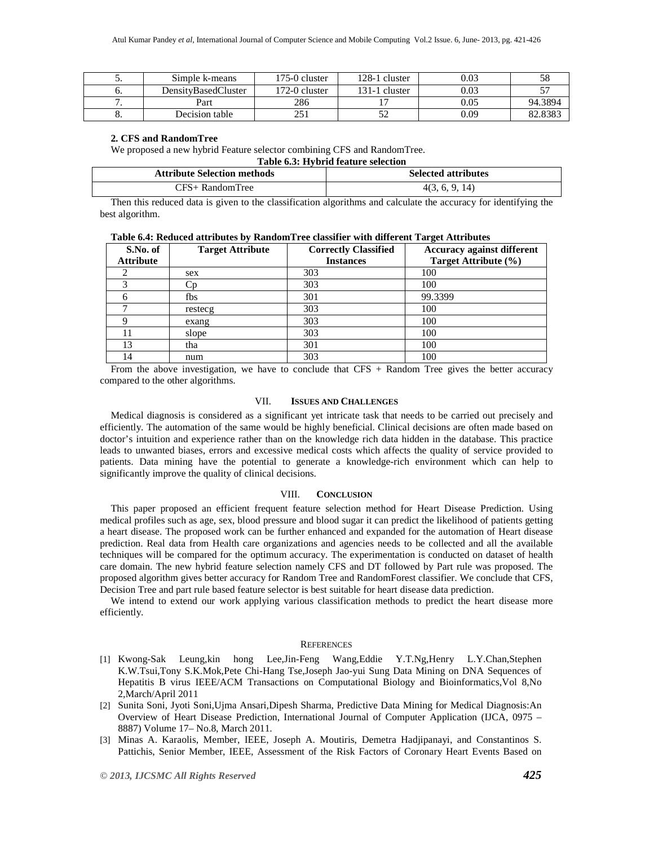| ັ  | Simple k-means      | 175-0 cluster | 128-1 cluster | 0.03 |         |
|----|---------------------|---------------|---------------|------|---------|
| υ. | DensityBasedCluster | 172-0 cluster | 131-1 cluster | 0.03 |         |
|    | Part                | 286           |               | 0.05 | 94.3894 |
|    | Decision table      |               | ے ر           | 0.09 | 82.838  |

#### **2. CFS and RandomTree**

We proposed a new hybrid Feature selector combining CFS and RandomTree.

#### **Table 6.3: Hybrid feature selection**

| <b>Attribute Selection methods</b> | <b>Selected attributes</b> |
|------------------------------------|----------------------------|
| CFS+ RandomTree                    | 4(3, 6, 9, 14)             |

Then this reduced data is given to the classification algorithms and calculate the accuracy for identifying the best algorithm.

|  | Table 6.4: Reduced attributes by RandomTree classifier with different Target Attributes |  |  |  |  |  |
|--|-----------------------------------------------------------------------------------------|--|--|--|--|--|
|--|-----------------------------------------------------------------------------------------|--|--|--|--|--|

| S.No. of         | <b>Target Attribute</b> | <b>Correctly Classified</b> | Accuracy against different |
|------------------|-------------------------|-----------------------------|----------------------------|
| <b>Attribute</b> |                         | <b>Instances</b>            | Target Attribute (%)       |
|                  | sex                     | 303                         | 100                        |
|                  | . n                     | 303                         | 100                        |
|                  | fbs                     | 301                         | 99.3399                    |
|                  | restecg                 | 303                         | 100                        |
|                  | exang                   | 303                         | 100                        |
|                  | slope                   | 303                         | 100                        |
| 13               | tha                     | 301                         | 100                        |
| 14               | num                     | 303                         | 100                        |

From the above investigation, we have to conclude that  $CFS + Random Tree$  gives the better accuracy compared to the other algorithms.

# VII. **ISSUES AND CHALLENGES**

Medical diagnosis is considered as a significant yet intricate task that needs to be carried out precisely and efficiently. The automation of the same would be highly beneficial. Clinical decisions are often made based on doctor's intuition and experience rather than on the knowledge rich data hidden in the database. This practice leads to unwanted biases, errors and excessive medical costs which affects the quality of service provided to patients. Data mining have the potential to generate a knowledge-rich environment which can help to significantly improve the quality of clinical decisions.

# VIII. **CONCLUSION**

This paper proposed an efficient frequent feature selection method for Heart Disease Prediction. Using medical profiles such as age, sex, blood pressure and blood sugar it can predict the likelihood of patients getting a heart disease. The proposed work can be further enhanced and expanded for the automation of Heart disease prediction. Real data from Health care organizations and agencies needs to be collected and all the available techniques will be compared for the optimum accuracy. The experimentation is conducted on dataset of health care domain. The new hybrid feature selection namely CFS and DT followed by Part rule was proposed. The proposed algorithm gives better accuracy for Random Tree and RandomForest classifier. We conclude that CFS, Decision Tree and part rule based feature selector is best suitable for heart disease data prediction.

We intend to extend our work applying various classification methods to predict the heart disease more efficiently.

#### **REFERENCES**

- [1] Kwong-Sak Leung,kin hong Lee,Jin-Feng Wang,Eddie Y.T.Ng,Henry L.Y.Chan,Stephen K.W.Tsui,Tony S.K.Mok,Pete Chi-Hang Tse,Joseph Jao-yui Sung Data Mining on DNA Sequences of Hepatitis B virus IEEE/ACM Transactions on Computational Biology and Bioinformatics,Vol 8,No 2,March/April 2011
- [2] Sunita Soni, Jyoti Soni,Ujma Ansari,Dipesh Sharma, Predictive Data Mining for Medical Diagnosis:An Overview of Heart Disease Prediction, International Journal of Computer Application (IJCA, 0975 – 8887) Volume 17– No.8, March 2011.
- [3] Minas A. Karaolis, Member, IEEE, Joseph A. Moutiris, Demetra Hadjipanayi, and Constantinos S. Pattichis, Senior Member, IEEE, Assessment of the Risk Factors of Coronary Heart Events Based on